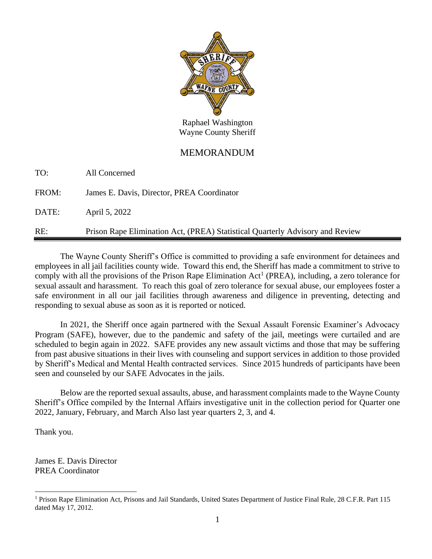

Raphael Washington Wayne County Sheriff

## MEMORANDUM

TO: All Concerned

FROM: James E. Davis, Director, PREA Coordinator

DATE: April 5, 2022

RE: Prison Rape Elimination Act, (PREA) Statistical Quarterly Advisory and Review

The Wayne County Sheriff's Office is committed to providing a safe environment for detainees and employees in all jail facilities county wide. Toward this end, the Sheriff has made a commitment to strive to comply with all the provisions of the Prison Rape Elimination  $Act^1$  (PREA), including, a zero tolerance for sexual assault and harassment. To reach this goal of zero tolerance for sexual abuse, our employees foster a safe environment in all our jail facilities through awareness and diligence in preventing, detecting and responding to sexual abuse as soon as it is reported or noticed.

In 2021, the Sheriff once again partnered with the Sexual Assault Forensic Examiner's Advocacy Program (SAFE), however, due to the pandemic and safety of the jail, meetings were curtailed and are scheduled to begin again in 2022. SAFE provides any new assault victims and those that may be suffering from past abusive situations in their lives with counseling and support services in addition to those provided by Sheriff's Medical and Mental Health contracted services. Since 2015 hundreds of participants have been seen and counseled by our SAFE Advocates in the jails.

Below are the reported sexual assaults, abuse, and harassment complaints made to the Wayne County Sheriff's Office compiled by the Internal Affairs investigative unit in the collection period for Quarter one 2022, January, February, and March Also last year quarters 2, 3, and 4.

Thank you.

James E. Davis Director PREA Coordinator

<sup>&</sup>lt;sup>1</sup> Prison Rape Elimination Act, Prisons and Jail Standards, United States Department of Justice Final Rule, 28 C.F.R. Part 115 dated May 17, 2012.